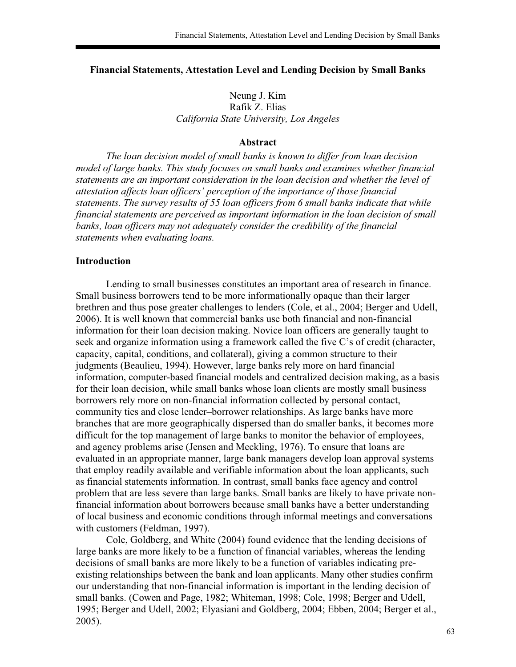## **Financial Statements, Attestation Level and Lending Decision by Small Banks**

Neung J. Kim Rafik Z. Elias *California State University, Los Angeles* 

#### **Abstract**

*The loan decision model of small banks is known to differ from loan decision model of large banks. This study focuses on small banks and examines whether financial statements are an important consideration in the loan decision and whether the level of attestation affects loan officers' perception of the importance of those financial statements. The survey results of 55 loan officers from 6 small banks indicate that while financial statements are perceived as important information in the loan decision of small banks, loan officers may not adequately consider the credibility of the financial statements when evaluating loans.* 

#### **Introduction**

Lending to small businesses constitutes an important area of research in finance. Small business borrowers tend to be more informationally opaque than their larger brethren and thus pose greater challenges to lenders (Cole, et al., 2004; Berger and Udell, 2006). It is well known that commercial banks use both financial and non-financial information for their loan decision making. Novice loan officers are generally taught to seek and organize information using a framework called the five C's of credit (character, capacity, capital, conditions, and collateral), giving a common structure to their judgments (Beaulieu, 1994). However, large banks rely more on hard financial information, computer-based financial models and centralized decision making, as a basis for their loan decision, while small banks whose loan clients are mostly small business borrowers rely more on non-financial information collected by personal contact, community ties and close lender–borrower relationships. As large banks have more branches that are more geographically dispersed than do smaller banks, it becomes more difficult for the top management of large banks to monitor the behavior of employees, and agency problems arise (Jensen and Meckling, 1976). To ensure that loans are evaluated in an appropriate manner, large bank managers develop loan approval systems that employ readily available and verifiable information about the loan applicants, such as financial statements information. In contrast, small banks face agency and control problem that are less severe than large banks. Small banks are likely to have private nonfinancial information about borrowers because small banks have a better understanding of local business and economic conditions through informal meetings and conversations with customers (Feldman, 1997).

 Cole, Goldberg, and White (2004) found evidence that the lending decisions of large banks are more likely to be a function of financial variables, whereas the lending decisions of small banks are more likely to be a function of variables indicating preexisting relationships between the bank and loan applicants. Many other studies confirm our understanding that non-financial information is important in the lending decision of small banks. (Cowen and Page, 1982; Whiteman, 1998; Cole, 1998; Berger and Udell, 1995; Berger and Udell, 2002; Elyasiani and Goldberg, 2004; Ebben, 2004; Berger et al., 2005).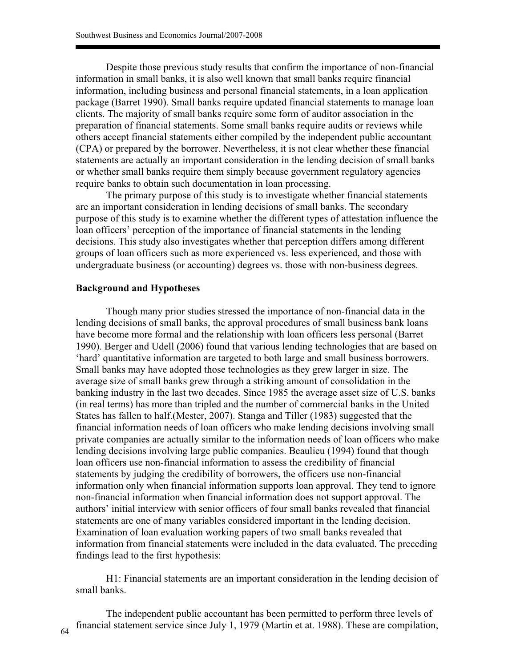Despite those previous study results that confirm the importance of non-financial information in small banks, it is also well known that small banks require financial information, including business and personal financial statements, in a loan application package (Barret 1990). Small banks require updated financial statements to manage loan clients. The majority of small banks require some form of auditor association in the preparation of financial statements. Some small banks require audits or reviews while others accept financial statements either compiled by the independent public accountant (CPA) or prepared by the borrower. Nevertheless, it is not clear whether these financial statements are actually an important consideration in the lending decision of small banks or whether small banks require them simply because government regulatory agencies require banks to obtain such documentation in loan processing.

 The primary purpose of this study is to investigate whether financial statements are an important consideration in lending decisions of small banks. The secondary purpose of this study is to examine whether the different types of attestation influence the loan officers' perception of the importance of financial statements in the lending decisions. This study also investigates whether that perception differs among different groups of loan officers such as more experienced vs. less experienced, and those with undergraduate business (or accounting) degrees vs. those with non-business degrees.

### **Background and Hypotheses**

Though many prior studies stressed the importance of non-financial data in the lending decisions of small banks, the approval procedures of small business bank loans have become more formal and the relationship with loan officers less personal (Barret 1990). Berger and Udell (2006) found that various lending technologies that are based on 'hard' quantitative information are targeted to both large and small business borrowers. Small banks may have adopted those technologies as they grew larger in size. The average size of small banks grew through a striking amount of consolidation in the banking industry in the last two decades. Since 1985 the average asset size of U.S. banks (in real terms) has more than tripled and the number of commercial banks in the United States has fallen to half.(Mester, 2007). Stanga and Tiller (1983) suggested that the financial information needs of loan officers who make lending decisions involving small private companies are actually similar to the information needs of loan officers who make lending decisions involving large public companies. Beaulieu (1994) found that though loan officers use non-financial information to assess the credibility of financial statements by judging the credibility of borrowers, the officers use non-financial information only when financial information supports loan approval. They tend to ignore non-financial information when financial information does not support approval. The authors' initial interview with senior officers of four small banks revealed that financial statements are one of many variables considered important in the lending decision. Examination of loan evaluation working papers of two small banks revealed that information from financial statements were included in the data evaluated. The preceding findings lead to the first hypothesis:

H1: Financial statements are an important consideration in the lending decision of small banks.

The independent public accountant has been permitted to perform three levels of financial statement service since July 1, 1979 (Martin et at. 1988). These are compilation,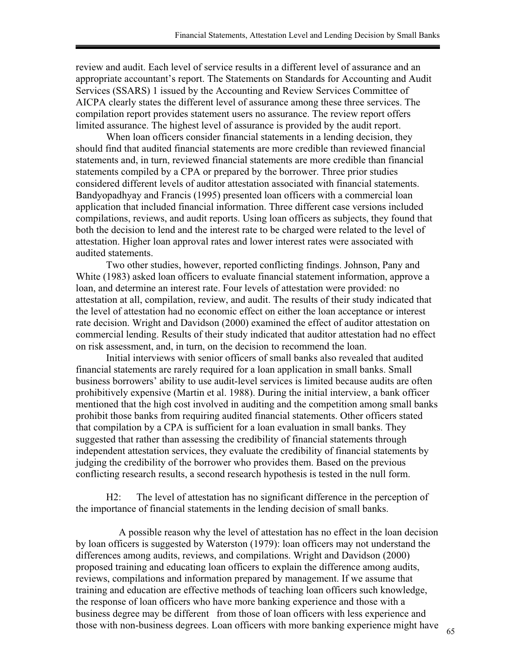review and audit. Each level of service results in a different level of assurance and an appropriate accountant's report. The Statements on Standards for Accounting and Audit Services (SSARS) 1 issued by the Accounting and Review Services Committee of AICPA clearly states the different level of assurance among these three services. The compilation report provides statement users no assurance. The review report offers limited assurance. The highest level of assurance is provided by the audit report.

When loan officers consider financial statements in a lending decision, they should find that audited financial statements are more credible than reviewed financial statements and, in turn, reviewed financial statements are more credible than financial statements compiled by a CPA or prepared by the borrower. Three prior studies considered different levels of auditor attestation associated with financial statements. Bandyopadhyay and Francis (1995) presented loan officers with a commercial loan application that included financial information. Three different case versions included compilations, reviews, and audit reports. Using loan officers as subjects, they found that both the decision to lend and the interest rate to be charged were related to the level of attestation. Higher loan approval rates and lower interest rates were associated with audited statements.

Two other studies, however, reported conflicting findings. Johnson, Pany and White (1983) asked loan officers to evaluate financial statement information, approve a loan, and determine an interest rate. Four levels of attestation were provided: no attestation at all, compilation, review, and audit. The results of their study indicated that the level of attestation had no economic effect on either the loan acceptance or interest rate decision. Wright and Davidson (2000) examined the effect of auditor attestation on commercial lending. Results of their study indicated that auditor attestation had no effect on risk assessment, and, in turn, on the decision to recommend the loan.

Initial interviews with senior officers of small banks also revealed that audited financial statements are rarely required for a loan application in small banks. Small business borrowers' ability to use audit-level services is limited because audits are often prohibitively expensive (Martin et al. 1988). During the initial interview, a bank officer mentioned that the high cost involved in auditing and the competition among small banks prohibit those banks from requiring audited financial statements. Other officers stated that compilation by a CPA is sufficient for a loan evaluation in small banks. They suggested that rather than assessing the credibility of financial statements through independent attestation services, they evaluate the credibility of financial statements by judging the credibility of the borrower who provides them. Based on the previous conflicting research results, a second research hypothesis is tested in the null form.

H2: The level of attestation has no significant difference in the perception of the importance of financial statements in the lending decision of small banks.

 A possible reason why the level of attestation has no effect in the loan decision by loan officers is suggested by Waterston (1979): loan officers may not understand the differences among audits, reviews, and compilations. Wright and Davidson (2000) proposed training and educating loan officers to explain the difference among audits, reviews, compilations and information prepared by management. If we assume that training and education are effective methods of teaching loan officers such knowledge, the response of loan officers who have more banking experience and those with a business degree may be different from those of loan officers with less experience and those with non-business degrees. Loan officers with more banking experience might have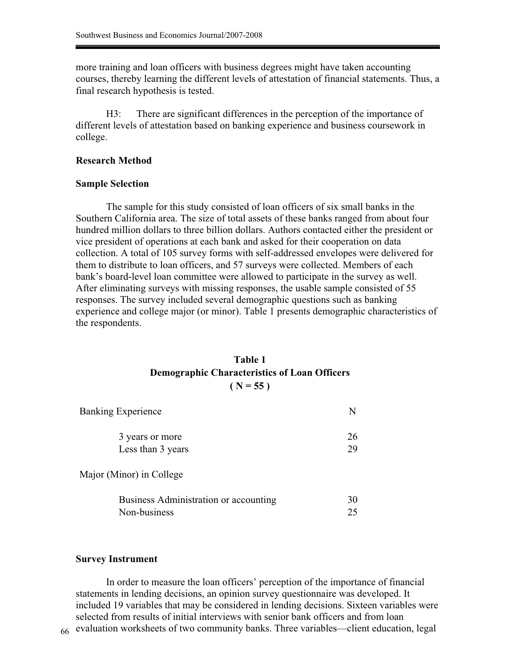more training and loan officers with business degrees might have taken accounting courses, thereby learning the different levels of attestation of financial statements. Thus, a final research hypothesis is tested.

H3: There are significant differences in the perception of the importance of different levels of attestation based on banking experience and business coursework in college.

### **Research Method**

#### **Sample Selection**

The sample for this study consisted of loan officers of six small banks in the Southern California area. The size of total assets of these banks ranged from about four hundred million dollars to three billion dollars. Authors contacted either the president or vice president of operations at each bank and asked for their cooperation on data collection. A total of 105 survey forms with self-addressed envelopes were delivered for them to distribute to loan officers, and 57 surveys were collected. Members of each bank's board-level loan committee were allowed to participate in the survey as well. After eliminating surveys with missing responses, the usable sample consisted of 55 responses. The survey included several demographic questions such as banking experience and college major (or minor). Table 1 presents demographic characteristics of the respondents.

## **Table 1 Demographic Characteristics of Loan Officers**   $(N = 55)$

| <b>Banking Experience</b>             | N  |
|---------------------------------------|----|
| 3 years or more                       | 26 |
| Less than 3 years                     | 29 |
| Major (Minor) in College              |    |
| Business Administration or accounting | 30 |
| Non-business                          | 25 |

### **Survey Instrument**

In order to measure the loan officers' perception of the importance of financial statements in lending decisions, an opinion survey questionnaire was developed. It included 19 variables that may be considered in lending decisions. Sixteen variables were selected from results of initial interviews with senior bank officers and from loan evaluation worksheets of two community banks. Three variables—client education, legal 66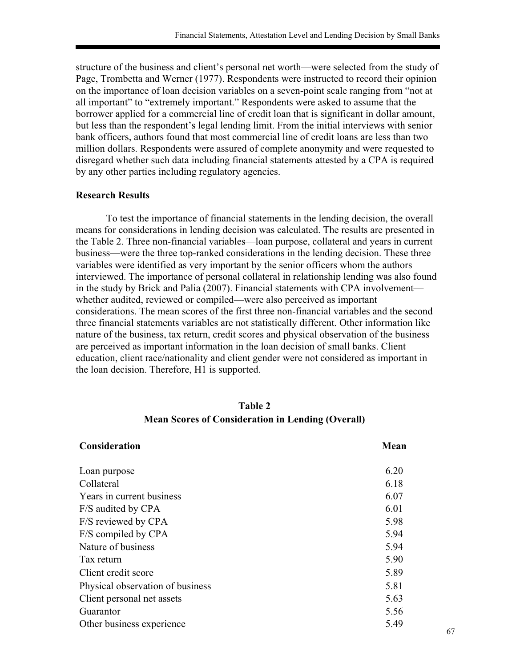structure of the business and client's personal net worth—were selected from the study of Page, Trombetta and Werner (1977). Respondents were instructed to record their opinion on the importance of loan decision variables on a seven-point scale ranging from "not at all important" to "extremely important." Respondents were asked to assume that the borrower applied for a commercial line of credit loan that is significant in dollar amount, but less than the respondent's legal lending limit. From the initial interviews with senior bank officers, authors found that most commercial line of credit loans are less than two million dollars. Respondents were assured of complete anonymity and were requested to disregard whether such data including financial statements attested by a CPA is required by any other parties including regulatory agencies.

## **Research Results**

To test the importance of financial statements in the lending decision, the overall means for considerations in lending decision was calculated. The results are presented in the Table 2. Three non-financial variables—loan purpose, collateral and years in current business—were the three top-ranked considerations in the lending decision. These three variables were identified as very important by the senior officers whom the authors interviewed. The importance of personal collateral in relationship lending was also found in the study by Brick and Palia (2007). Financial statements with CPA involvement whether audited, reviewed or compiled—were also perceived as important considerations. The mean scores of the first three non-financial variables and the second three financial statements variables are not statistically different. Other information like nature of the business, tax return, credit scores and physical observation of the business are perceived as important information in the loan decision of small banks. Client education, client race/nationality and client gender were not considered as important in the loan decision. Therefore, H1 is supported.

## **Table 2 Mean Scores of Consideration in Lending (Overall)**

| Consideration                    | Mean |
|----------------------------------|------|
| Loan purpose                     | 6.20 |
| Collateral                       | 6.18 |
| Years in current business        | 6.07 |
| F/S audited by CPA               | 6.01 |
| F/S reviewed by CPA              | 5.98 |
| F/S compiled by CPA              | 5.94 |
| Nature of business               | 5.94 |
| Tax return                       | 5.90 |
| Client credit score              | 5.89 |
| Physical observation of business | 5.81 |
| Client personal net assets       | 5.63 |
| Guarantor                        | 5.56 |
| Other business experience        | 5.49 |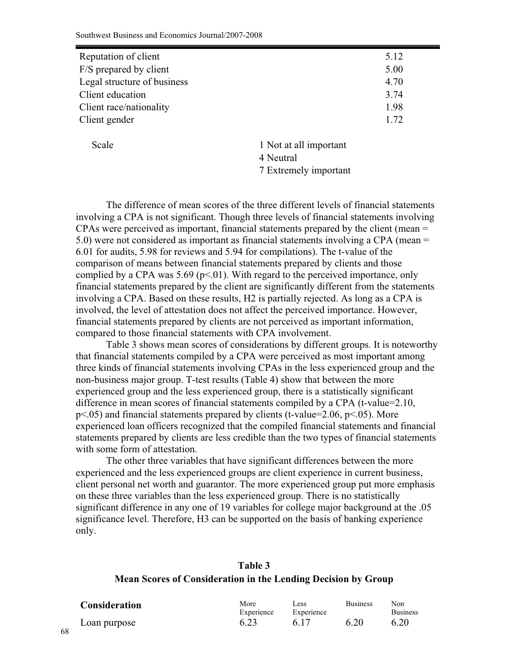| Reputation of client        | 5.12 |
|-----------------------------|------|
| F/S prepared by client      | 5.00 |
| Legal structure of business | 4.70 |
| Client education            | 3.74 |
| Client race/nationality     | 1.98 |
| Client gender               | 1.72 |

Scale 1 Not at all important 4 Neutral 7 Extremely important

 The difference of mean scores of the three different levels of financial statements involving a CPA is not significant. Though three levels of financial statements involving CPAs were perceived as important, financial statements prepared by the client (mean = 5.0) were not considered as important as financial statements involving a CPA (mean = 6.01 for audits, 5.98 for reviews and 5.94 for compilations). The t-value of the comparison of means between financial statements prepared by clients and those complied by a CPA was 5.69 ( $p<01$ ). With regard to the perceived importance, only financial statements prepared by the client are significantly different from the statements involving a CPA. Based on these results, H2 is partially rejected. As long as a CPA is involved, the level of attestation does not affect the perceived importance. However, financial statements prepared by clients are not perceived as important information, compared to those financial statements with CPA involvement.

 Table 3 shows mean scores of considerations by different groups. It is noteworthy that financial statements compiled by a CPA were perceived as most important among three kinds of financial statements involving CPAs in the less experienced group and the non-business major group. T-test results (Table 4) show that between the more experienced group and the less experienced group, there is a statistically significant difference in mean scores of financial statements compiled by a CPA (t-value=2.10,  $p<.05$ ) and financial statements prepared by clients (t-value=2.06,  $p<.05$ ). More experienced loan officers recognized that the compiled financial statements and financial statements prepared by clients are less credible than the two types of financial statements with some form of attestation.

 The other three variables that have significant differences between the more experienced and the less experienced groups are client experience in current business, client personal net worth and guarantor. The more experienced group put more emphasis on these three variables than the less experienced group. There is no statistically significant difference in any one of 19 variables for college major background at the .05 significance level. Therefore, H3 can be supported on the basis of banking experience only.

# **Table 3 Mean Scores of Consideration in the Lending Decision by Group**

| <b>Consideration</b> | More       | Less       | <b>Business</b> | Non             |
|----------------------|------------|------------|-----------------|-----------------|
|                      | Experience | Experience |                 | <b>Business</b> |
| Loan purpose         | 6.23       | 6.17       | 6.20            | 6.20            |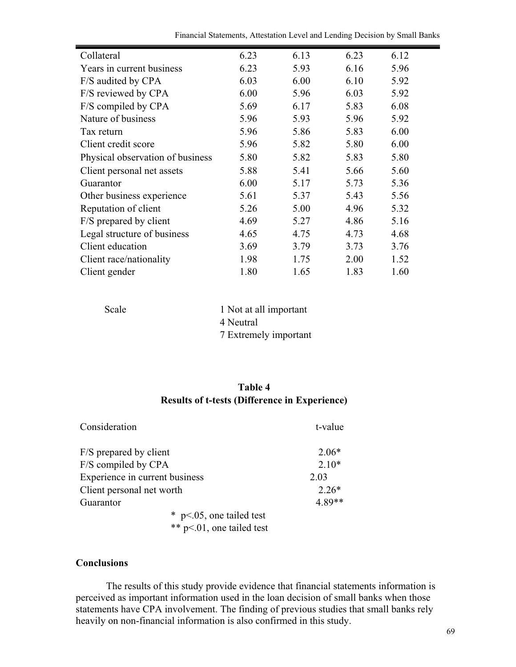Financial Statements, Attestation Level and Lending Decision by Small Banks

| Collateral                       | 6.23 | 6.13 | 6.23 | 6.12 |
|----------------------------------|------|------|------|------|
| Years in current business        | 6.23 | 5.93 | 6.16 | 5.96 |
| F/S audited by CPA               | 6.03 | 6.00 | 6.10 | 5.92 |
| F/S reviewed by CPA              | 6.00 | 5.96 | 6.03 | 5.92 |
| F/S compiled by CPA              | 5.69 | 6.17 | 5.83 | 6.08 |
| Nature of business               | 5.96 | 5.93 | 5.96 | 5.92 |
| Tax return                       | 5.96 | 5.86 | 5.83 | 6.00 |
| Client credit score              | 5.96 | 5.82 | 5.80 | 6.00 |
| Physical observation of business | 5.80 | 5.82 | 5.83 | 5.80 |
| Client personal net assets       | 5.88 | 5.41 | 5.66 | 5.60 |
| Guarantor                        | 6.00 | 5.17 | 5.73 | 5.36 |
| Other business experience        | 5.61 | 5.37 | 5.43 | 5.56 |
| Reputation of client             | 5.26 | 5.00 | 4.96 | 5.32 |
| F/S prepared by client           | 4.69 | 5.27 | 4.86 | 5.16 |
| Legal structure of business      | 4.65 | 4.75 | 4.73 | 4.68 |
| Client education                 | 3.69 | 3.79 | 3.73 | 3.76 |
| Client race/nationality          | 1.98 | 1.75 | 2.00 | 1.52 |
| Client gender                    | 1.80 | 1.65 | 1.83 | 1.60 |

| Scale | 1 Not at all important |
|-------|------------------------|
|       | 4 Neutral              |
|       | 7 Extremely important  |

# **Table 4 Results of t-tests (Difference in Experience)**

| Consideration                  |                             | t-value  |
|--------------------------------|-----------------------------|----------|
| F/S prepared by client         |                             | $2.06*$  |
| F/S compiled by CPA            |                             | $2.10*$  |
| Experience in current business |                             | 2.03     |
| Client personal net worth      |                             | $2.26*$  |
| Guarantor                      |                             | $4.89**$ |
|                                | $*$ p<.05, one tailed test  |          |
|                                | ** $p<01$ , one tailed test |          |

## **Conclusions**

The results of this study provide evidence that financial statements information is perceived as important information used in the loan decision of small banks when those statements have CPA involvement. The finding of previous studies that small banks rely heavily on non-financial information is also confirmed in this study.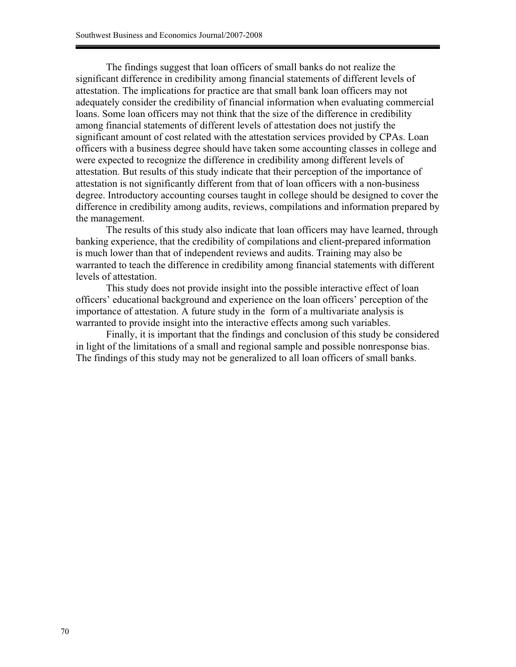The findings suggest that loan officers of small banks do not realize the significant difference in credibility among financial statements of different levels of attestation. The implications for practice are that small bank loan officers may not adequately consider the credibility of financial information when evaluating commercial loans. Some loan officers may not think that the size of the difference in credibility among financial statements of different levels of attestation does not justify the significant amount of cost related with the attestation services provided by CPAs. Loan officers with a business degree should have taken some accounting classes in college and were expected to recognize the difference in credibility among different levels of attestation. But results of this study indicate that their perception of the importance of attestation is not significantly different from that of loan officers with a non-business degree. Introductory accounting courses taught in college should be designed to cover the difference in credibility among audits, reviews, compilations and information prepared by the management.

The results of this study also indicate that loan officers may have learned, through banking experience, that the credibility of compilations and client-prepared information is much lower than that of independent reviews and audits. Training may also be warranted to teach the difference in credibility among financial statements with different levels of attestation.

This study does not provide insight into the possible interactive effect of loan officers' educational background and experience on the loan officers' perception of the importance of attestation. A future study in the form of a multivariate analysis is warranted to provide insight into the interactive effects among such variables.

Finally, it is important that the findings and conclusion of this study be considered in light of the limitations of a small and regional sample and possible nonresponse bias. The findings of this study may not be generalized to all loan officers of small banks.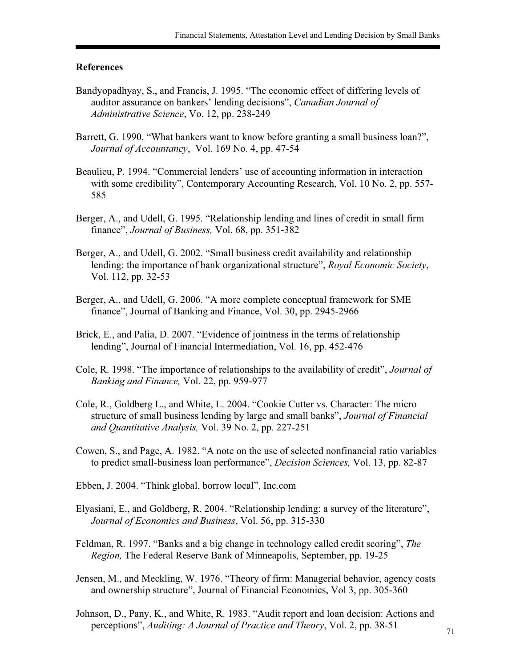## **References**

- Bandyopadhyay, S., and Francis, J. 1995. "The economic effect of differing levels of auditor assurance on bankers' lending decisions", *Canadian Journal of Administrative Science*, Vo. 12, pp. 238-249
- Barrett, G. 1990. "What bankers want to know before granting a small business loan?", *Journal of Accountancy*, Vol. 169 No. 4, pp. 47-54
- Beaulieu, P. 1994. "Commercial lenders' use of accounting information in interaction with some credibility", Contemporary Accounting Research, Vol. 10 No. 2, pp. 557-585
- Berger, A., and Udell, G. 1995. "Relationship lending and lines of credit in small firm finance", *Journal of Business,* Vol. 68, pp. 351-382
- Berger, A., and Udell, G. 2002. "Small business credit availability and relationship lending: the importance of bank organizational structure", *Royal Economic Society*, Vol. 112, pp. 32-53
- Berger, A., and Udell, G. 2006. "A more complete conceptual framework for SME finance", Journal of Banking and Finance, Vol. 30, pp. 2945-2966
- Brick, E., and Palia, D. 2007. "Evidence of jointness in the terms of relationship lending", Journal of Financial Intermediation, Vol. 16, pp. 452-476
- Cole, R. 1998. "The importance of relationships to the availability of credit", *Journal of Banking and Finance,* Vol. 22, pp. 959-977
- Cole, R., Goldberg L., and White, L. 2004. "Cookie Cutter vs. Character: The micro structure of small business lending by large and small banks", *Journal of Financial and Quantitative Analysis,* Vol. 39 No. 2, pp. 227-251
- Cowen, S., and Page, A. 1982. "A note on the use of selected nonfinancial ratio variables to predict small-business loan performance", *Decision Sciences,* Vol. 13, pp. 82-87
- Ebben, J. 2004. "Think global, borrow local", Inc.com
- Elyasiani, E., and Goldberg, R. 2004. "Relationship lending: a survey of the literature", *Journal of Economics and Business*, Vol. 56, pp. 315-330
- Feldman, R. 1997. "Banks and a big change in technology called credit scoring", *The Region,* The Federal Reserve Bank of Minneapolis, September, pp. 19-25
- Jensen, M., and Meckling, W. 1976. "Theory of firm: Managerial behavior, agency costs and ownership structure", Journal of Financial Economics, Vol 3, pp. 305-360
- Johnson, D., Pany, K., and White, R. 1983. "Audit report and loan decision: Actions and perceptions", *Auditing: A Journal of Practice and Theory*, Vol. 2, pp. 38-51